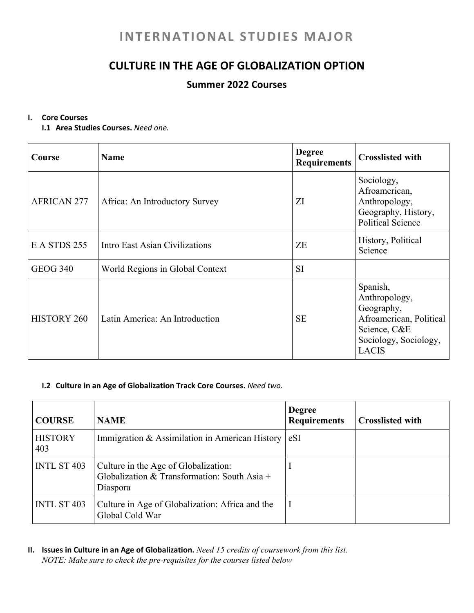# **INTERNATIONAL STUDIES MAJOR**

## **CULTURE IN THE AGE OF GLOBALIZATION OPTION**

### **Summer 2022 Courses**

#### **I. Core Courses**

**I.1 Area Studies Courses.** *Need one.*

| Course             | <b>Name</b>                     | <b>Degree</b><br><b>Requirements</b> | <b>Crosslisted with</b>                                                                                                     |
|--------------------|---------------------------------|--------------------------------------|-----------------------------------------------------------------------------------------------------------------------------|
| <b>AFRICAN 277</b> | Africa: An Introductory Survey  | ΖI                                   | Sociology,<br>Afroamerican,<br>Anthropology,<br>Geography, History,<br><b>Political Science</b>                             |
| E A STDS 255       | Intro East Asian Civilizations  | <b>ZE</b>                            | History, Political<br>Science                                                                                               |
| <b>GEOG 340</b>    | World Regions in Global Context | <b>SI</b>                            |                                                                                                                             |
| <b>HISTORY 260</b> | Latin America: An Introduction  | <b>SE</b>                            | Spanish,<br>Anthropology,<br>Geography,<br>Afroamerican, Political<br>Science, C&E<br>Sociology, Sociology,<br><b>LACIS</b> |

#### **I.2 Culture in an Age of Globalization Track Core Courses.** *Need two.*

| <b>COURSE</b>         | <b>NAME</b>                                                                                      | <b>Degree</b><br><b>Requirements</b> | <b>Crosslisted with</b> |
|-----------------------|--------------------------------------------------------------------------------------------------|--------------------------------------|-------------------------|
| <b>HISTORY</b><br>403 | Immigration & Assimilation in American History $ eSI $                                           |                                      |                         |
| <b>INTL ST 403</b>    | Culture in the Age of Globalization:<br>Globalization & Transformation: South Asia +<br>Diaspora |                                      |                         |
| <b>INTL ST 403</b>    | Culture in Age of Globalization: Africa and the<br>Global Cold War                               |                                      |                         |

**II. Issues in Culture in an Age of Globalization.** *Need 15 credits of coursework from this list. NOTE: Make sure to check the pre-requisites for the courses listed below*